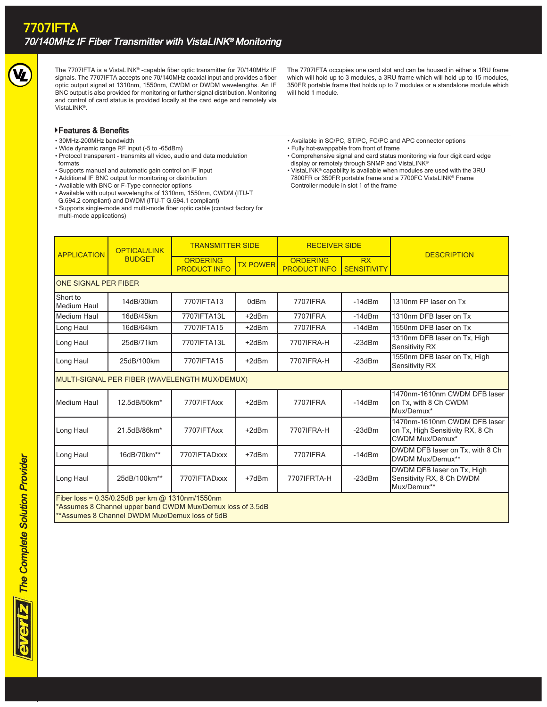

The 7707IFTA is a VistaLINK® -capable fiber optic transmitter for 70/140MHz IF signals. The 7707IFTA accepts one 70/140MHz coaxial input and provides a fiber optic output signal at 1310nm, 1550nm, CWDM or DWDM wavelengths. An IF BNC output is also provided for monitoring or further signal distribution. Monitoring and control of card status is provided locally at the card edge and remotely via VistaLINK®.

The 7707IFTA occupies one card slot and can be housed in either a 1RU frame which will hold up to 3 modules, a 3RU frame which will hold up to 15 modules, 350FR portable frame that holds up to 7 modules or a standalone module which will hold 1 module.

## Features & Benefits

- 30MHz-200MHz bandwidth
- Wide dynamic range RF input (-5 to -65dBm)
- Protocol transparent transmits all video, audio and data modulation formats
- Supports manual and automatic gain control on IF input
- Additional IF BNC output for monitoring or distribution
- Available with BNC or F-Type connector options
- Available with output wavelengths of 1310nm, 1550nm, CWDM (ITU-T G.694.2 compliant) and DWDM (ITU-T G.694.1 compliant)
- Supports single-mode and multi-mode fiber optic cable (contact factory for multi-mode applications)
- Available in SC/PC, ST/PC, FC/PC and APC connector options • Fully hot-swappable from front of frame
- Comprehensive signal and card status monitoring via four digit card edge display or remotely through SNMP and VistaLINK®
- VistaLINK® capability is available when modules are used with the 3RU 7800FR or 350FR portable frame and a 7700FC VistaLINK® Frame Controller module in slot 1 of the frame

| <b>APPLICATION</b>                                                                                                                                                | <b>OPTICAL/LINK</b><br><b>BUDGET</b> | <b>TRANSMITTER SIDE</b>                |                 | <b>RECEIVER SIDE</b>                   |                                 |                                                                                            |
|-------------------------------------------------------------------------------------------------------------------------------------------------------------------|--------------------------------------|----------------------------------------|-----------------|----------------------------------------|---------------------------------|--------------------------------------------------------------------------------------------|
|                                                                                                                                                                   |                                      | <b>ORDERING</b><br><b>PRODUCT INFO</b> | <b>TX POWER</b> | <b>ORDERING</b><br><b>PRODUCT INFO</b> | <b>RX</b><br><b>SENSITIVITY</b> | <b>DESCRIPTION</b>                                                                         |
| ONE SIGNAL PER FIBER                                                                                                                                              |                                      |                                        |                 |                                        |                                 |                                                                                            |
| Short to<br><b>Medium Haul</b>                                                                                                                                    | 14dB/30km                            | 7707IFTA13                             | 0dBm            | 7707IFRA                               | $-14dBm$                        | 1310nm FP laser on Tx                                                                      |
| <b>Medium Haul</b>                                                                                                                                                | 16dB/45km                            | 7707IFTA13L                            | $+2dBr$         | 7707IFRA                               | $-14dBm$                        | 1310nm DFB laser on Tx                                                                     |
| Long Haul                                                                                                                                                         | 16dB/64km                            | 7707IFTA15                             | $+2dBr$         | 7707IFRA                               | $-14dBm$                        | 1550nm DFB laser on Tx                                                                     |
| Long Haul                                                                                                                                                         | 25dB/71km                            | 7707IFTA13L                            | $+2dBr$         | 7707IFRA-H                             | $-23dBm$                        | 1310nm DFB laser on Tx, High<br><b>Sensitivity RX</b>                                      |
| Long Haul                                                                                                                                                         | 25dB/100km                           | 7707IFTA15                             | $+2dBr$         | 7707IFRA-H                             | $-23dBm$                        | 1550nm DFB laser on Tx, High<br>Sensitivity RX                                             |
| MULTI-SIGNAL PER FIBER (WAVELENGTH MUX/DEMUX)                                                                                                                     |                                      |                                        |                 |                                        |                                 |                                                                                            |
| Medium Haul                                                                                                                                                       | 12.5dB/50km*                         | 7707IFTAxx                             | $+2dBr$         | 7707IFRA                               | $-14dBm$                        | 1470nm-1610nm CWDM DFB laser<br>on Tx, with 8 Ch CWDM<br>Mux/Demux*                        |
| Long Haul                                                                                                                                                         | 21.5dB/86km*                         | 7707IFTAxx                             | $+2dBr$         | 7707IFRA-H                             | $-23dBm$                        | 1470nm-1610nm CWDM DFB laser<br>on Tx, High Sensitivity RX, 8 Ch<br><b>CWDM Mux/Demux*</b> |
| Long Haul                                                                                                                                                         | 16dB/70km**                          | 7707IFTADxxx                           | $+7dBr$         | 7707IFRA                               | $-14dBm$                        | DWDM DFB laser on Tx, with 8 Ch<br>DWDM Mux/Demux**                                        |
| Long Haul                                                                                                                                                         | 25dB/100km**                         | 7707IFTADxxx                           | $+7dBr$         | 7707IFRTA-H                            | $-23dBm$                        | DWDM DFB laser on Tx, High<br>Sensitivity RX, 8 Ch DWDM<br>Mux/Demux**                     |
| Fiber loss = $0.35/0.25dB$ per km @ 1310nm/1550nm<br>*Assumes 8 Channel upper band CWDM Mux/Demux loss of 3.5dB<br>**Assumes 8 Channel DWDM Mux/Demux loss of 5dB |                                      |                                        |                 |                                        |                                 |                                                                                            |